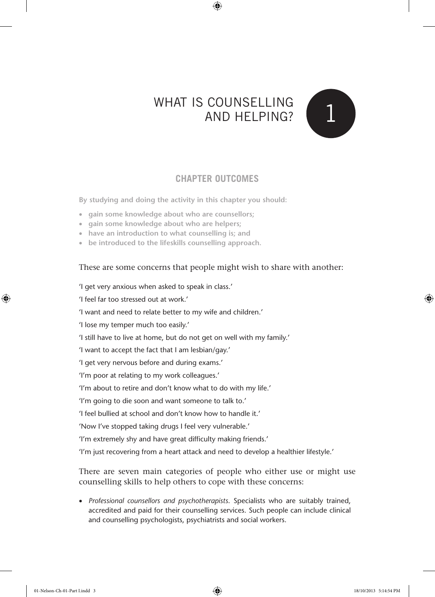# WHAT IS COUNSELLING<br>AND HELPING? 1 AND HELPING?

 $\textcircled{\scriptsize{*}}$ 

# **CHAPTER OUTCOMES**

**By studying and doing the activity in this chapter you should:**

- **gain some knowledge about who are counsellors;**
- **gain some knowledge about who are helpers;**
- **have an introduction to what counselling is; and**
- **be introduced to the lifeskills counselling approach.**

These are some concerns that people might wish to share with another:

'I get very anxious when asked to speak in class.'

'I feel far too stressed out at work.'

'I want and need to relate better to my wife and children.'

'I lose my temper much too easily.'

'I still have to live at home, but do not get on well with my family.'

'I want to accept the fact that I am lesbian/gay.'

'I get very nervous before and during exams.'

'I'm poor at relating to my work colleagues.'

'I'm about to retire and don't know what to do with my life.'

'I'm going to die soon and want someone to talk to.'

'I feel bullied at school and don't know how to handle it.'

'Now I've stopped taking drugs I feel very vulnerable.'

'I'm extremely shy and have great difficulty making friends.'

'I'm just recovering from a heart attack and need to develop a healthier lifestyle.'

There are seven main categories of people who either use or might use counselling skills to help others to cope with these concerns:

• *Professional counsellors and psychotherapists*. Specialists who are suitably trained, accredited and paid for their counselling services. Such people can include clinical and counselling psychologists, psychiatrists and social workers.

⊕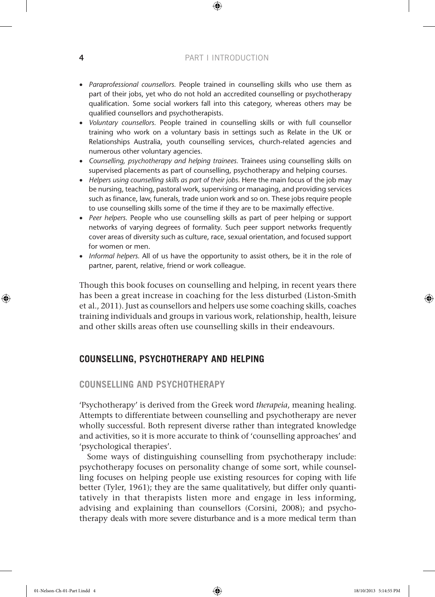#### **4** PART I INTRODUCTION

 $\textcircled{\scriptsize\textsf{P}}$ 

- *Paraprofessional counsellors.* People trained in counselling skills who use them as part of their jobs, yet who do not hold an accredited counselling or psychotherapy qualification. Some social workers fall into this category, whereas others may be qualified counsellors and psychotherapists.
- *Voluntary counsellors.* People trained in counselling skills or with full counsellor training who work on a voluntary basis in settings such as Relate in the UK or Relationships Australia, youth counselling services, church-related agencies and numerous other voluntary agencies.
- *Counselling, psychotherapy and helping trainees.* Trainees using counselling skills on supervised placements as part of counselling, psychotherapy and helping courses.
- Helpers using counselling skills as part of their jobs. Here the main focus of the job may be nursing, teaching, pastoral work, supervising or managing, and providing services such as finance, law, funerals, trade union work and so on. These jobs require people to use counselling skills some of the time if they are to be maximally effective.
- *Peer helpers.* People who use counselling skills as part of peer helping or support networks of varying degrees of formality. Such peer support networks frequently cover areas of diversity such as culture, race, sexual orientation, and focused support for women or men.
- *Informal helpers.* All of us have the opportunity to assist others, be it in the role of partner, parent, relative, friend or work colleague.

Though this book focuses on counselling and helping, in recent years there has been a great increase in coaching for the less disturbed (Liston-Smith et al., 2011). Just as counsellors and helpers use some coaching skills, coaches training individuals and groups in various work, relationship, health, leisure and other skills areas often use counselling skills in their endeavours.

## **COUNSELLING, PSYCHOTHERAPY AND HELPING**

#### **COUNSELLING AND PSYCHOTHERAPY**

'Psychotherapy' is derived from the Greek word *therapeia*, meaning healing. Attempts to differentiate between counselling and psychotherapy are never wholly successful. Both represent diverse rather than integrated knowledge and activities, so it is more accurate to think of 'counselling approaches' and 'psychological therapies'.

Some ways of distinguishing counselling from psychotherapy include: psychotherapy focuses on personality change of some sort, while counselling focuses on helping people use existing resources for coping with life better (Tyler, 1961); they are the same qualitatively, but differ only quantitatively in that therapists listen more and engage in less informing, advising and explaining than counsellors (Corsini, 2008); and psychotherapy deals with more severe disturbance and is a more medical term than

♠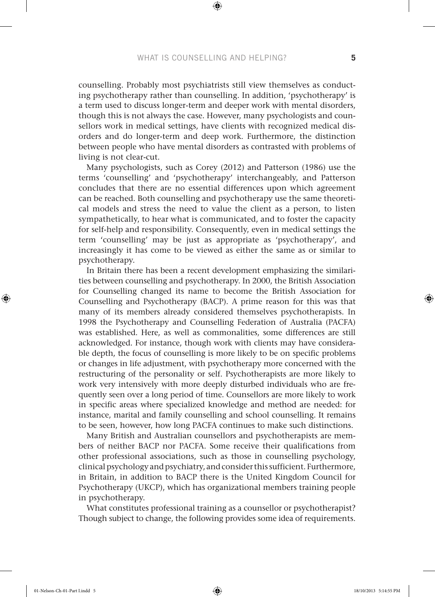$\textcircled{\scriptsize{*}}$ 

counselling. Probably most psychiatrists still view themselves as conducting psychotherapy rather than counselling. In addition, 'psychotherapy' is a term used to discuss longer-term and deeper work with mental disorders, though this is not always the case. However, many psychologists and counsellors work in medical settings, have clients with recognized medical disorders and do longer-term and deep work. Furthermore, the distinction between people who have mental disorders as contrasted with problems of living is not clear-cut.

Many psychologists, such as Corey (2012) and Patterson (1986) use the terms 'counselling' and 'psychotherapy' interchangeably, and Patterson concludes that there are no essential differences upon which agreement can be reached. Both counselling and psychotherapy use the same theoretical models and stress the need to value the client as a person, to listen sympathetically, to hear what is communicated, and to foster the capacity for self-help and responsibility. Consequently, even in medical settings the term 'counselling' may be just as appropriate as 'psychotherapy', and increasingly it has come to be viewed as either the same as or similar to psychotherapy.

In Britain there has been a recent development emphasizing the similarities between counselling and psychotherapy. In 2000, the British Association for Counselling changed its name to become the British Association for Counselling and Psychotherapy (BACP). A prime reason for this was that many of its members already considered themselves psychotherapists. In 1998 the Psychotherapy and Counselling Federation of Australia (PACFA) was established. Here, as well as commonalities, some differences are still acknowledged. For instance, though work with clients may have considerable depth, the focus of counselling is more likely to be on specific problems or changes in life adjustment, with psychotherapy more concerned with the restructuring of the personality or self. Psychotherapists are more likely to work very intensively with more deeply disturbed individuals who are frequently seen over a long period of time. Counsellors are more likely to work in specific areas where specialized knowledge and method are needed: for instance, marital and family counselling and school counselling. It remains to be seen, however, how long PACFA continues to make such distinctions.

Many British and Australian counsellors and psychotherapists are members of neither BACP nor PACFA. Some receive their qualifications from other professional associations, such as those in counselling psychology, clinical psychology and psychiatry, and consider this sufficient. Furthermore, in Britain, in addition to BACP there is the United Kingdom Council for Psychotherapy (UKCP), which has organizational members training people in psychotherapy.

What constitutes professional training as a counsellor or psychotherapist? Though subject to change, the following provides some idea of requirements.

♠

♠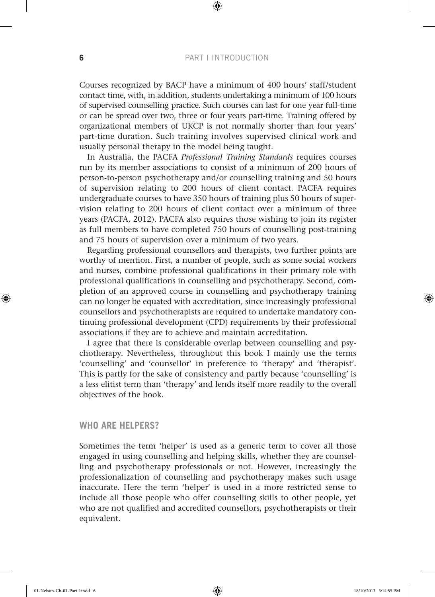#### **6** PART I INTRODUCTION

 $\textcircled{\scriptsize{*}}$ 

Courses recognized by BACP have a minimum of 400 hours' staff/student contact time, with, in addition, students undertaking a minimum of 100 hours of supervised counselling practice. Such courses can last for one year full-time or can be spread over two, three or four years part-time. Training offered by organizational members of UKCP is not normally shorter than four years' part-time duration. Such training involves supervised clinical work and usually personal therapy in the model being taught.

In Australia, the PACFA *Professional Training Standards* requires courses run by its member associations to consist of a minimum of 200 hours of person-to-person psychotherapy and/or counselling training and 50 hours of supervision relating to 200 hours of client contact. PACFA requires undergraduate courses to have 350 hours of training plus 50 hours of supervision relating to 200 hours of client contact over a minimum of three years (PACFA, 2012). PACFA also requires those wishing to join its register as full members to have completed 750 hours of counselling post-training and 75 hours of supervision over a minimum of two years.

Regarding professional counsellors and therapists, two further points are worthy of mention. First, a number of people, such as some social workers and nurses, combine professional qualifications in their primary role with professional qualifications in counselling and psychotherapy. Second, completion of an approved course in counselling and psychotherapy training can no longer be equated with accreditation, since increasingly professional counsellors and psychotherapists are required to undertake mandatory continuing professional development (CPD) requirements by their professional associations if they are to achieve and maintain accreditation.

I agree that there is considerable overlap between counselling and psychotherapy. Nevertheless, throughout this book I mainly use the terms 'counselling' and 'counsellor' in preference to 'therapy' and 'therapist'. This is partly for the sake of consistency and partly because 'counselling' is a less elitist term than 'therapy' and lends itself more readily to the overall objectives of the book.

# **WHO ARE HELPERS?**

Sometimes the term 'helper' is used as a generic term to cover all those engaged in using counselling and helping skills, whether they are counselling and psychotherapy professionals or not. However, increasingly the professionalization of counselling and psychotherapy makes such usage inaccurate. Here the term 'helper' is used in a more restricted sense to include all those people who offer counselling skills to other people, yet who are not qualified and accredited counsellors, psychotherapists or their equivalent.

♠

♠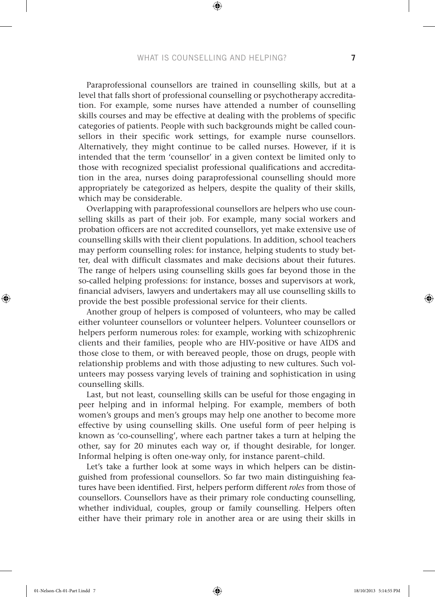#### WHAT IS COUNSELLING AND HELPING? **7**

 $\textcircled{\scriptsize{*}}$ 

Paraprofessional counsellors are trained in counselling skills, but at a level that falls short of professional counselling or psychotherapy accreditation. For example, some nurses have attended a number of counselling skills courses and may be effective at dealing with the problems of specific categories of patients. People with such backgrounds might be called counsellors in their specific work settings, for example nurse counsellors. Alternatively, they might continue to be called nurses. However, if it is intended that the term 'counsellor' in a given context be limited only to those with recognized specialist professional qualifications and accreditation in the area, nurses doing paraprofessional counselling should more appropriately be categorized as helpers, despite the quality of their skills, which may be considerable.

Overlapping with paraprofessional counsellors are helpers who use counselling skills as part of their job. For example, many social workers and probation officers are not accredited counsellors, yet make extensive use of counselling skills with their client populations. In addition, school teachers may perform counselling roles: for instance, helping students to study better, deal with difficult classmates and make decisions about their futures. The range of helpers using counselling skills goes far beyond those in the so-called helping professions: for instance, bosses and supervisors at work, financial advisers, lawyers and undertakers may all use counselling skills to provide the best possible professional service for their clients.

Another group of helpers is composed of volunteers, who may be called either volunteer counsellors or volunteer helpers. Volunteer counsellors or helpers perform numerous roles: for example, working with schizophrenic clients and their families, people who are HIV-positive or have AIDS and those close to them, or with bereaved people, those on drugs, people with relationship problems and with those adjusting to new cultures. Such volunteers may possess varying levels of training and sophistication in using counselling skills.

Last, but not least, counselling skills can be useful for those engaging in peer helping and in informal helping. For example, members of both women's groups and men's groups may help one another to become more effective by using counselling skills. One useful form of peer helping is known as 'co-counselling', where each partner takes a turn at helping the other, say for 20 minutes each way or, if thought desirable, for longer. Informal helping is often one-way only, for instance parent–child.

Let's take a further look at some ways in which helpers can be distinguished from professional counsellors. So far two main distinguishing features have been identified. First, helpers perform different *roles* from those of counsellors. Counsellors have as their primary role conducting counselling, whether individual, couples, group or family counselling. Helpers often either have their primary role in another area or are using their skills in

♠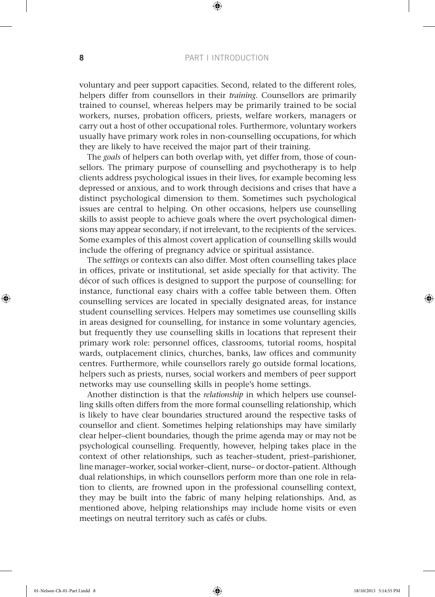#### **8** PART I INTRODUCTION

 $\textcircled{\scriptsize{*}}$ 

voluntary and peer support capacities. Second, related to the different roles, helpers differ from counsellors in their *training*. Counsellors are primarily trained to counsel, whereas helpers may be primarily trained to be social workers, nurses, probation officers, priests, welfare workers, managers or carry out a host of other occupational roles. Furthermore, voluntary workers usually have primary work roles in non-counselling occupations, for which they are likely to have received the major part of their training.

The *goals* of helpers can both overlap with, yet differ from, those of counsellors. The primary purpose of counselling and psychotherapy is to help clients address psychological issues in their lives, for example becoming less depressed or anxious, and to work through decisions and crises that have a distinct psychological dimension to them. Sometimes such psychological issues are central to helping. On other occasions, helpers use counselling skills to assist people to achieve goals where the overt psychological dimensions may appear secondary, if not irrelevant, to the recipients of the services. Some examples of this almost covert application of counselling skills would include the offering of pregnancy advice or spiritual assistance.

The *settings* or contexts can also differ. Most often counselling takes place in offices, private or institutional, set aside specially for that activity. The décor of such offices is designed to support the purpose of counselling: for instance, functional easy chairs with a coffee table between them. Often counselling services are located in specially designated areas, for instance student counselling services. Helpers may sometimes use counselling skills in areas designed for counselling, for instance in some voluntary agencies, but frequently they use counselling skills in locations that represent their primary work role: personnel offices, classrooms, tutorial rooms, hospital wards, outplacement clinics, churches, banks, law offices and community centres. Furthermore, while counsellors rarely go outside formal locations, helpers such as priests, nurses, social workers and members of peer support networks may use counselling skills in people's home settings.

Another distinction is that the *relationship* in which helpers use counselling skills often differs from the more formal counselling relationship, which is likely to have clear boundaries structured around the respective tasks of counsellor and client. Sometimes helping relationships may have similarly clear helper–client boundaries, though the prime agenda may or may not be psychological counselling. Frequently, however, helping takes place in the context of other relationships, such as teacher–student, priest–parishioner, line manager–worker, social worker–client, nurse– or doctor–patient. Although dual relationships, in which counsellors perform more than one role in relation to clients, are frowned upon in the professional counselling context, they may be built into the fabric of many helping relationships. And, as mentioned above, helping relationships may include home visits or even meetings on neutral territory such as cafés or clubs.

♠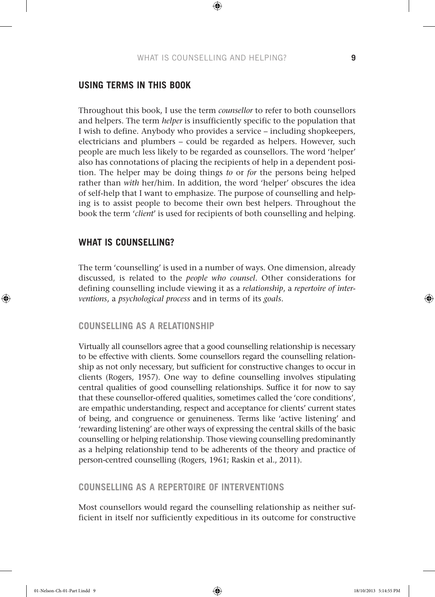$\textcircled{\scriptsize\textsf{P}}$ 

# **USING TERMS IN THIS BOOK**

Throughout this book, I use the term *counsellor* to refer to both counsellors and helpers. The term *helper* is insufficiently specific to the population that I wish to define. Anybody who provides a service – including shopkeepers, electricians and plumbers – could be regarded as helpers. However, such people are much less likely to be regarded as counsellors. The word 'helper' also has connotations of placing the recipients of help in a dependent position. The helper may be doing things *to* or *for* the persons being helped rather than *with* her/him. In addition, the word 'helper' obscures the idea of self-help that I want to emphasize. The purpose of counselling and helping is to assist people to become their own best helpers. Throughout the book the term '*client*' is used for recipients of both counselling and helping.

#### **WHAT IS COUNSELLING?**

⊕

The term 'counselling' is used in a number of ways. One dimension, already discussed, is related to the *people who counsel*. Other considerations for defining counselling include viewing it as a *relationship*, a *repertoire of interventions*, a *psychological process* and in terms of its *goals*.

# **COUNSELLING AS A RELATIONSHIP**

Virtually all counsellors agree that a good counselling relationship is necessary to be effective with clients. Some counsellors regard the counselling relationship as not only necessary, but sufficient for constructive changes to occur in clients (Rogers, 1957). One way to define counselling involves stipulating central qualities of good counselling relationships. Suffice it for now to say that these counsellor-offered qualities, sometimes called the 'core conditions', are empathic understanding, respect and acceptance for clients' current states of being, and congruence or genuineness. Terms like 'active listening' and 'rewarding listening' are other ways of expressing the central skills of the basic counselling or helping relationship. Those viewing counselling predominantly as a helping relationship tend to be adherents of the theory and practice of person-centred counselling (Rogers, 1961; Raskin et al., 2011).

## **COUNSELLING AS A REPERTOIRE OF INTERVENTIONS**

Most counsellors would regard the counselling relationship as neither sufficient in itself nor sufficiently expeditious in its outcome for constructive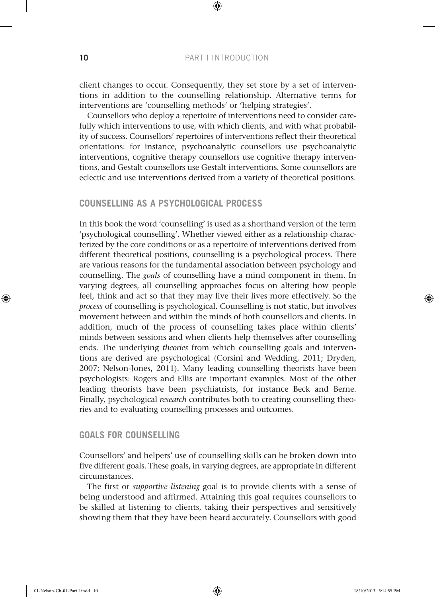client changes to occur. Consequently, they set store by a set of interventions in addition to the counselling relationship. Alternative terms for interventions are 'counselling methods' or 'helping strategies'.

 $\textcircled{\scriptsize\textsf{P}}$ 

Counsellors who deploy a repertoire of interventions need to consider carefully which interventions to use, with which clients, and with what probability of success. Counsellors' repertoires of interventions reflect their theoretical orientations: for instance, psychoanalytic counsellors use psychoanalytic interventions, cognitive therapy counsellors use cognitive therapy interventions, and Gestalt counsellors use Gestalt interventions. Some counsellors are eclectic and use interventions derived from a variety of theoretical positions.

# **COUNSELLING AS A PSYCHOLOGICAL PROCESS**

In this book the word 'counselling' is used as a shorthand version of the term 'psychological counselling'. Whether viewed either as a relationship characterized by the core conditions or as a repertoire of interventions derived from different theoretical positions, counselling is a psychological process. There are various reasons for the fundamental association between psychology and counselling. The *goals* of counselling have a mind component in them. In varying degrees, all counselling approaches focus on altering how people feel, think and act so that they may live their lives more effectively. So the *process* of counselling is psychological. Counselling is not static, but involves movement between and within the minds of both counsellors and clients. In addition, much of the process of counselling takes place within clients' minds between sessions and when clients help themselves after counselling ends. The underlying *theories* from which counselling goals and interventions are derived are psychological (Corsini and Wedding, 2011; Dryden, 2007; Nelson-Jones, 2011). Many leading counselling theorists have been psychologists: Rogers and Ellis are important examples. Most of the other leading theorists have been psychiatrists, for instance Beck and Berne. Finally, psychological *research* contributes both to creating counselling theories and to evaluating counselling processes and outcomes.

# **GOALS FOR COUNSELLING**

Counsellors' and helpers' use of counselling skills can be broken down into five different goals. These goals, in varying degrees, are appropriate in different circumstances.

The first or *supportive listening* goal is to provide clients with a sense of being understood and affirmed. Attaining this goal requires counsellors to be skilled at listening to clients, taking their perspectives and sensitively showing them that they have been heard accurately. Counsellors with good

♠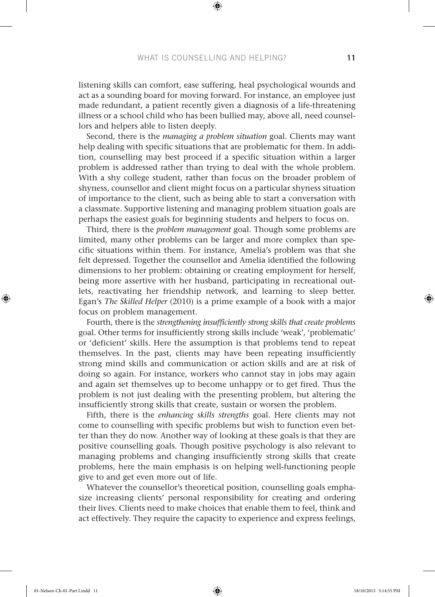$\textcircled{\scriptsize{*}}$ 

listening skills can comfort, ease suffering, heal psychological wounds and act as a sounding board for moving forward. For instance, an employee just made redundant, a patient recently given a diagnosis of a life-threatening illness or a school child who has been bullied may, above all, need counsellors and helpers able to listen deeply.

Second, there is the *managing a problem situation* goal. Clients may want help dealing with specific situations that are problematic for them. In addition, counselling may best proceed if a specific situation within a larger problem is addressed rather than trying to deal with the whole problem. With a shy college student, rather than focus on the broader problem of shyness, counsellor and client might focus on a particular shyness situation of importance to the client, such as being able to start a conversation with a classmate. Supportive listening and managing problem situation goals are perhaps the easiest goals for beginning students and helpers to focus on.

Third, there is the *problem management* goal. Though some problems are limited, many other problems can be larger and more complex than specific situations within them. For instance, Amelia's problem was that she felt depressed. Together the counsellor and Amelia identified the following dimensions to her problem: obtaining or creating employment for herself, being more assertive with her husband, participating in recreational outlets, reactivating her friendship network, and learning to sleep better. Egan's *The Skilled Helper* (2010) is a prime example of a book with a major focus on problem management.

Fourth, there is the *strengthening insufficiently strong skills that create problems* goal. Other terms for insufficiently strong skills include 'weak', 'problematic' or 'deficient' skills. Here the assumption is that problems tend to repeat themselves. In the past, clients may have been repeating insufficiently strong mind skills and communication or action skills and are at risk of doing so again. For instance, workers who cannot stay in jobs may again and again set themselves up to become unhappy or to get fired. Thus the problem is not just dealing with the presenting problem, but altering the insufficiently strong skills that create, sustain or worsen the problem.

Fifth, there is the *enhancing skills strengths* goal. Here clients may not come to counselling with specific problems but wish to function even better than they do now. Another way of looking at these goals is that they are positive counselling goals. Though positive psychology is also relevant to managing problems and changing insufficiently strong skills that create problems, here the main emphasis is on helping well-functioning people give to and get even more out of life.

Whatever the counsellor's theoretical position, counselling goals emphasize increasing clients' personal responsibility for creating and ordering their lives. Clients need to make choices that enable them to feel, think and act effectively. They require the capacity to experience and express feelings,

♠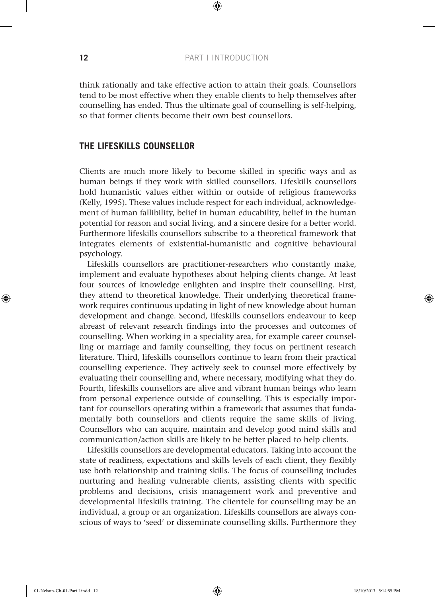think rationally and take effective action to attain their goals. Counsellors tend to be most effective when they enable clients to help themselves after counselling has ended. Thus the ultimate goal of counselling is self-helping, so that former clients become their own best counsellors.

 $\textcircled{\scriptsize\textsf{P}}$ 

## **THE LIFESKILLS COUNSELLOR**

Clients are much more likely to become skilled in specific ways and as human beings if they work with skilled counsellors. Lifeskills counsellors hold humanistic values either within or outside of religious frameworks (Kelly, 1995). These values include respect for each individual, acknowledgement of human fallibility, belief in human educability, belief in the human potential for reason and social living, and a sincere desire for a better world. Furthermore lifeskills counsellors subscribe to a theoretical framework that integrates elements of existential-humanistic and cognitive behavioural psychology.

Lifeskills counsellors are practitioner-researchers who constantly make, implement and evaluate hypotheses about helping clients change. At least four sources of knowledge enlighten and inspire their counselling. First, they attend to theoretical knowledge. Their underlying theoretical framework requires continuous updating in light of new knowledge about human development and change. Second, lifeskills counsellors endeavour to keep abreast of relevant research findings into the processes and outcomes of counselling. When working in a speciality area, for example career counselling or marriage and family counselling, they focus on pertinent research literature. Third, lifeskills counsellors continue to learn from their practical counselling experience. They actively seek to counsel more effectively by evaluating their counselling and, where necessary, modifying what they do. Fourth, lifeskills counsellors are alive and vibrant human beings who learn from personal experience outside of counselling. This is especially important for counsellors operating within a framework that assumes that fundamentally both counsellors and clients require the same skills of living. Counsellors who can acquire, maintain and develop good mind skills and communication/action skills are likely to be better placed to help clients.

Lifeskills counsellors are developmental educators. Taking into account the state of readiness, expectations and skills levels of each client, they flexibly use both relationship and training skills. The focus of counselling includes nurturing and healing vulnerable clients, assisting clients with specific problems and decisions, crisis management work and preventive and developmental lifeskills training. The clientele for counselling may be an individual, a group or an organization. Lifeskills counsellors are always conscious of ways to 'seed' or disseminate counselling skills. Furthermore they

♠